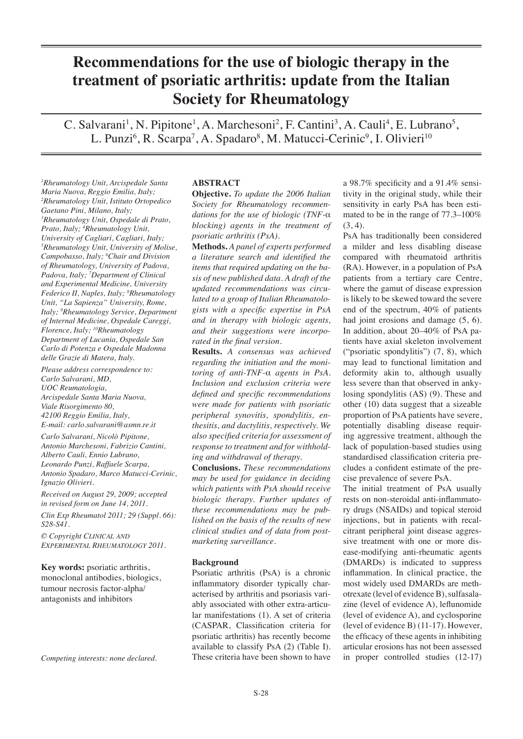# **Recommendations for the use of biologic therapy in the treatment of psoriatic arthritis: update from the Italian Society for Rheumatology**

C. Salvarani<sup>1</sup>, N. Pipitone<sup>1</sup>, A. Marchesoni<sup>2</sup>, F. Cantini<sup>3</sup>, A. Cauli<sup>4</sup>, E. Lubrano<sup>5</sup>, L. Punzi<sup>6</sup>, R. Scarpa<sup>7</sup>, A. Spadaro<sup>8</sup>, M. Matucci-Cerinic<sup>9</sup>, I. Olivieri<sup>10</sup>

*1 Rheumatology Unit, Arcispedale Santa Maria Nuova, Reggio Emilia, Italy; 2 Rheumatology Unit, Istituto Ortopedico Gaetano Pini, Milano, Italy; 3 Rheumatology Unit, Ospedale di Prato, Prato, Italy; 4 Rheumatology Unit, University of Cagliari, Cagliari, Italy; 5 Rheumatology Unit, University of Molise, Campobasso, Italy; 6 Chair and Division of Rheumatology, University of Padova, Padova, Italy; 7 Department of Clinical and Experimental Medicine, University Federico II, Naples, Italy; 8 Rheumatology Unit, "La Sapienza" University, Rome, Italy; 9 Rheumatology Service, Department of Internal Medicine, Ospedale Careggi, Florence, Italy; 10Rheumatology Department of Lucania, Ospedale San Carlo di Potenza e Ospedale Madonna delle Grazie di Matera, Italy.* 

*Please address correspondence to: Carlo Salvarani, MD, UOC Reumatologia, Arcispedale Santa Maria Nuova, Viale Risorgimento 80, 42100 Reggio Emilia, Italy, E-mail: carlo.salvarani@asmn.re.it Carlo Salvarani, Nicolò Pipitone, Antonio Marchesoni, Fabrizio Cantini, Alberto Cauli, Ennio Lubrano, Leonardo Punzi, Raffaele Scarpa,* 

*Antonio Spadaro, Marco Matucci-Cerinic, Ignazio Olivieri.*

*Received on August 29, 2009; accepted in revised form on June 14, 2011.*

*Clin Exp Rheumatol 2011; 29 (Suppl. 66): S28-S41.*

*© Copyright CLINICAL AND EXPERIMENTAL RHEUMATOLOGY 2011.*

**Key words:** psoriatic arthritis, monoclonal antibodies, biologics, tumour necrosis factor-alpha/ antagonists and inhibitors

*Competing interests: none declared.*

# **ABSTRACT**

**Objective.** *To update the 2006 Italian Society for Rheumatology recommendations for the use of biologic (TNF-*α *blocking) agents in the treatment of psoriatic arthritis (PsA).* 

**Methods.** *A panel of experts performed a literature search and identified the items that required updating on the basis of new published data. A draft of the updated recommendations was circulated to a group of Italian Rheumatologists with a specific expertise in PsA and in therapy with biologic agents, and their suggestions were incorporated in the final version.* 

**Results.** *A consensus was achieved regarding the initiation and the monitoring of anti-TNF-*α *agents in PsA. Inclusion and exclusion criteria were defined and specific recommendations were made for patients with psoriatic peripheral synovitis, spondylitis, enthesitis, and dactylitis, respectively. We also specified criteria for assessment of response to treatment and for withholding and withdrawal of therapy.* 

**Conclusions.** *These recommendations may be used for guidance in deciding which patients with PsA should receive biologic therapy. Further updates of these recommendations may be published on the basis of the results of new clinical studies and of data from postmarketing surveillance.*

## **Background**

Psoriatic arthritis (PsA) is a chronic inflammatory disorder typically characterised by arthritis and psoriasis variably associated with other extra-articular manifestations (1). A set of criteria (CASPAR, Classification criteria for psoriatic arthritis) has recently become available to classify PsA (2) (Table I). These criteria have been shown to have

a 98.7% specificity and a 91.4% sensitivity in the original study, while their sensitivity in early PsA has been estimated to be in the range of 77.3–100%  $(3, 4)$ .

PsA has traditionally been considered a milder and less disabling disease compared with rheumatoid arthritis (RA). However, in a population of PsA patients from a tertiary care Centre, where the gamut of disease expression is likely to be skewed toward the severe end of the spectrum, 40% of patients had joint erosions and damage (5, 6). In addition, about 20–40% of PsA patients have axial skeleton involvement ("psoriatic spondylitis") (7, 8), which may lead to functional limitation and deformity akin to, although usually less severe than that observed in ankylosing spondylitis (AS) (9). These and other (10) data suggest that a sizeable proportion of PsA patients have severe, potentially disabling disease requiring aggressive treatment, although the lack of population-based studies using standardised classification criteria precludes a confident estimate of the precise prevalence of severe PsA.

The initial treatment of PsA usually rests on non-steroidal anti-inflammatory drugs (NSAIDs) and topical steroid injections, but in patients with recalcitrant peripheral joint disease aggressive treatment with one or more disease-modifying anti-rheumatic agents (DMARDs) is indicated to suppress inflammation. In clinical practice, the most widely used DMARDs are methotrexate (level of evidence B), sulfasalazine (level of evidence A), leflunomide (level of evidence A), and cyclosporine (level of evidence B) (11-17). However, the efficacy of these agents in inhibiting articular erosions has not been assessed in proper controlled studies (12-17)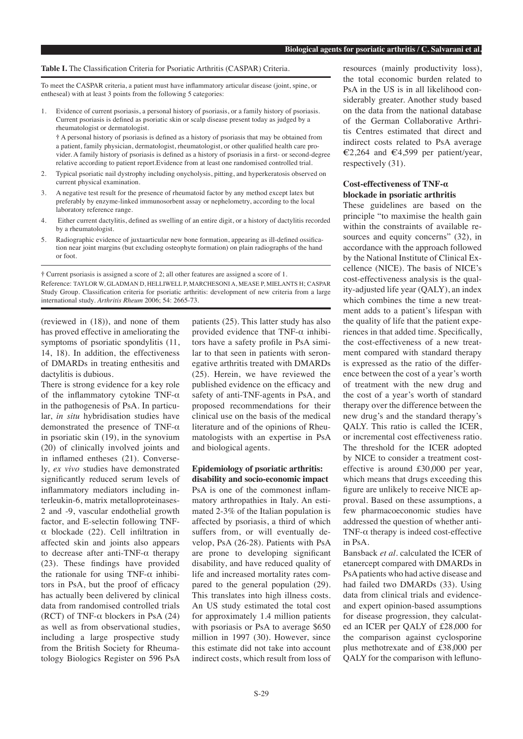#### **Table I.** The Classification Criteria for Psoriatic Arthritis (CASPAR) Criteria.

To meet the CASPAR criteria, a patient must have inflammatory articular disease (joint, spine, or entheseal) with at least 3 points from the following 5 categories:

1. Evidence of current psoriasis, a personal history of psoriasis, or a family history of psoriasis. Current psoriasis is defined as psoriatic skin or scalp disease present today as judged by a rheumatologist or dermatologist.

**†** A personal history of psoriasis is defined as a history of psoriasis that may be obtained from a patient, family physician, dermatologist, rheumatologist, or other qualified health care provider. A family history of psoriasis is defined as a history of psoriasis in a first- or second-degree relative according to patient report.Evidence from at least one randomised controlled trial.

- 2. Typical psoriatic nail dystrophy including onycholysis, pitting, and hyperkeratosis observed on current physical examination.
- 3. A negative test result for the presence of rheumatoid factor by any method except latex but preferably by enzyme-linked immunosorbent assay or nephelometry, according to the local laboratory reference range.
- 4. Either current dactylitis, defined as swelling of an entire digit, or a history of dactylitis recorded by a rheumatologist.
- 5. Radiographic evidence of juxtaarticular new bone formation, appearing as ill-defined ossification near joint margins (but excluding osteophyte formation) on plain radiographs of the hand or foot.

**†** Current psoriasis is assigned a score of 2; all other features are assigned a score of 1. Reference: TAYLOR W, GLADMAN D, HELLIWELL P, MARCHESONI A, MEASE P, MIELANTS H; CASPAR Study Group. Classification criteria for psoriatic arthritis: development of new criteria from a large international study. *Arthritis Rheum* 2006; 54: 2665-73.

(reviewed in (18)), and none of them has proved effective in ameliorating the symptoms of psoriatic spondylitis (11, 14, 18). In addition, the effectiveness of DMARDs in treating enthesitis and dactylitis is dubious.

There is strong evidence for a key role of the inflammatory cytokine TNF-α in the pathogenesis of PsA. In particular, *in situ* hybridisation studies have demonstrated the presence of TNF-α in psoriatic skin (19), in the synovium (20) of clinically involved joints and in inflamed entheses (21). Conversely, *ex vivo* studies have demonstrated significantly reduced serum levels of inflammatory mediators including interleukin-6, matrix metalloproteinases-2 and -9, vascular endothelial growth factor, and E-selectin following TNFα blockade (22). Cell infiltration in affected skin and joints also appears to decrease after anti-TNF-α therapy (23). These findings have provided the rationale for using  $TNF-\alpha$  inhibitors in PsA, but the proof of efficacy has actually been delivered by clinical data from randomised controlled trials (RCT) of TNF- $\alpha$  blockers in PsA (24) as well as from observational studies, including a large prospective study from the British Society for Rheumatology Biologics Register on 596 PsA

patients (25). This latter study has also provided evidence that  $TNF-\alpha$  inhibitors have a safety profile in PsA similar to that seen in patients with seronegative arthritis treated with DMARDs (25). Herein, we have reviewed the published evidence on the efficacy and safety of anti-TNF-agents in PsA, and proposed recommendations for their clinical use on the basis of the medical literature and of the opinions of Rheumatologists with an expertise in PsA and biological agents.

**Epidemiology of psoriatic arthritis: disability and socio-economic impact** PsA is one of the commonest inflammatory arthropathies in Italy. An estimated 2-3% of the Italian population is affected by psoriasis, a third of which suffers from, or will eventually develop, PsA (26-28). Patients with PsA are prone to developing significant disability, and have reduced quality of life and increased mortality rates compared to the general population (29). This translates into high illness costs. An US study estimated the total cost for approximately 1.4 million patients with psoriasis or PsA to average \$650 million in 1997 (30). However, since this estimate did not take into account indirect costs, which result from loss of

resources (mainly productivity loss), the total economic burden related to PsA in the US is in all likelihood considerably greater. Another study based on the data from the national database of the German Collaborative Arthritis Centres estimated that direct and indirect costs related to PsA average €2,264 and €4,599 per patient/year, respectively (31).

## **Cost-effectiveness of TNF-α blockade in psoriatic arthritis**

These guidelines are based on the principle "to maximise the health gain within the constraints of available resources and equity concerns" (32), in accordance with the approach followed by the National Institute of Clinical Excellence (NICE). The basis of NICE's cost-effectiveness analysis is the quality-adjusted life year (QALY), an index which combines the time a new treatment adds to a patient's lifespan with the quality of life that the patient experiences in that added time. Specifically, the cost-effectiveness of a new treatment compared with standard therapy is expressed as the ratio of the difference between the cost of a year's worth of treatment with the new drug and the cost of a year's worth of standard therapy over the difference between the new drug's and the standard therapy's QALY. This ratio is called the ICER, or incremental cost effectiveness ratio. The threshold for the ICER adopted by NICE to consider a treatment costeffective is around £30,000 per year, which means that drugs exceeding this figure are unlikely to receive NICE approval. Based on these assumptions, a few pharmacoeconomic studies have addressed the question of whether anti-TNF- $\alpha$  therapy is indeed cost-effective in PsA.

Bansback *et al*. calculated the ICER of etanercept compared with DMARDs in PsA patients who had active disease and had failed two DMARDs (33). Using data from clinical trials and evidenceand expert opinion-based assumptions for disease progression, they calculated an ICER per QALY of £28,000 for the comparison against cyclosporine plus methotrexate and of £38,000 per QALY for the comparison with lefluno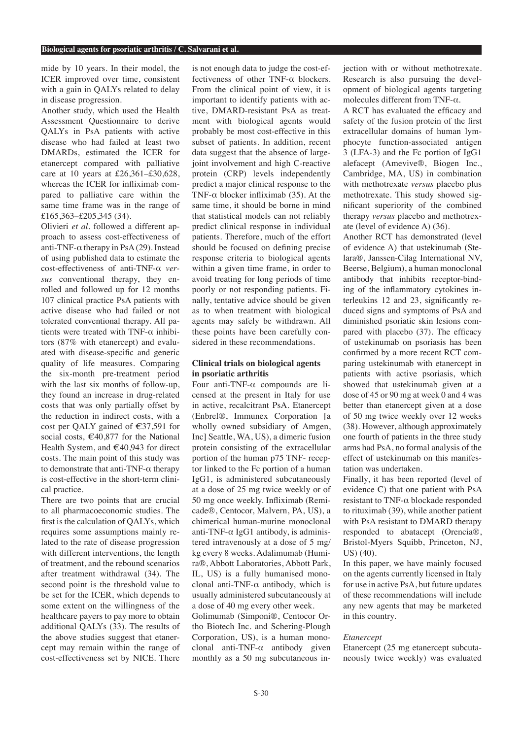mide by 10 years. In their model, the ICER improved over time, consistent with a gain in QALYs related to delay in disease progression.

Another study, which used the Health Assessment Questionnaire to derive QALYs in PsA patients with active disease who had failed at least two DMARDs, estimated the ICER for etanercept compared with palliative care at 10 years at £26,361–£30,628, whereas the ICER for infliximab compared to palliative care within the same time frame was in the range of £165,363–£205,345 (34).

Olivieri *et al*. followed a different approach to assess cost-effectiveness of anti-TNF- $\alpha$  therapy in PsA (29). Instead of using published data to estimate the cost-effectiveness of anti-TNF-α *versus* conventional therapy, they enrolled and followed up for 12 months 107 clinical practice PsA patients with active disease who had failed or not tolerated conventional therapy. All patients were treated with TNF- $\alpha$  inhibitors (87% with etanercept) and evaluated with disease-specific and generic quality of life measures. Comparing the six-month pre-treatment period with the last six months of follow-up, they found an increase in drug-related costs that was only partially offset by the reduction in indirect costs, with a cost per QALY gained of €37,591 for social costs,  $\epsilon$ 40,877 for the National Health System, and  $\epsilon$ 40,943 for direct costs. The main point of this study was to demonstrate that anti-TNF- $\alpha$  therapy is cost-effective in the short-term clinical practice.

There are two points that are crucial to all pharmacoeconomic studies. The first is the calculation of QALYs, which requires some assumptions mainly related to the rate of disease progression with different interventions, the length of treatment, and the rebound scenarios after treatment withdrawal (34). The second point is the threshold value to be set for the ICER, which depends to some extent on the willingness of the healthcare payers to pay more to obtain additional QALYs (33). The results of the above studies suggest that etanercept may remain within the range of cost-effectiveness set by NICE. There

is not enough data to judge the cost-effectiveness of other TNF- $\alpha$  blockers. From the clinical point of view, it is important to identify patients with active, DMARD-resistant PsA as treatment with biological agents would probably be most cost-effective in this subset of patients. In addition, recent data suggest that the absence of largejoint involvement and high C-reactive protein (CRP) levels independently predict a major clinical response to the TNF- $\alpha$  blocker infliximab (35). At the same time, it should be borne in mind that statistical models can not reliably predict clinical response in individual patients. Therefore, much of the effort should be focused on defining precise response criteria to biological agents within a given time frame, in order to avoid treating for long periods of time poorly or not responding patients. Finally, tentative advice should be given as to when treatment with biological agents may safely be withdrawn. All these points have been carefully considered in these recommendations.

# **Clinical trials on biological agents in psoriatic arthritis**

Four anti-TNF-α compounds are licensed at the present in Italy for use in active, recalcitrant PsA. Etanercept (Enbrel®, Immunex Corporation [a wholly owned subsidiary of Amgen, Inc] Seattle, WA, US), a dimeric fusion protein consisting of the extracellular portion of the human p75 TNF- receptor linked to the Fc portion of a human IgG1, is administered subcutaneously at a dose of 25 mg twice weekly or of 50 mg once weekly. Infliximab (Remicade®, Centocor, Malvern, PA, US), a chimerical human-murine monoclonal anti-TNF- $\alpha$  IgG1 antibody, is administered intravenously at a dose of 5 mg/ kg every 8 weeks. Adalimumab (Humira®, Abbott Laboratories, Abbott Park, IL, US) is a fully humanised monoclonal anti-TNF- $\alpha$  antibody, which is usually administered subcutaneously at a dose of 40 mg every other week.

Golimumab (Simponi®, Centocor Ortho Biotech Inc. and Schering-Plough Corporation, US), is a human monoclonal anti-TNF-α antibody given monthly as a 50 mg subcutaneous injection with or without methotrexate. Research is also pursuing the development of biological agents targeting molecules different from TNF-α.

A RCT has evaluated the efficacy and safety of the fusion protein of the first extracellular domains of human lymphocyte function-associated antigen 3 (LFA-3) and the Fc portion of IgG1 alefacept (Amevive®, Biogen Inc., Cambridge, MA, US) in combination with methotrexate *versus* placebo plus methotrexate. This study showed significant superiority of the combined therapy *versus* placebo and methotrexate (level of evidence A) (36).

Another RCT has demonstrated (level of evidence A) that ustekinumab (Stelara®, Janssen-Cilag International NV, Beerse, Belgium), a human monoclonal antibody that inhibits receptor-binding of the inflammatory cytokines interleukins 12 and 23, significantly reduced signs and symptoms of PsA and diminished psoriatic skin lesions compared with placebo (37). The efficacy of ustekinumab on psoriasis has been confirmed by a more recent RCT comparing ustekinumab with etanercept in patients with active psoriasis, which showed that ustekinumab given at a dose of 45 or 90 mg at week 0 and 4 was better than etanercept given at a dose of 50 mg twice weekly over 12 weeks (38). However, although approximately one fourth of patients in the three study arms had PsA, no formal analysis of the effect of ustekinumab on this manifestation was undertaken.

Finally, it has been reported (level of evidence C) that one patient with PsA resistant to TNF-α blockade responded to rituximab (39), while another patient with PsA resistant to DMARD therapy responded to abatacept (Orencia®, Bristol-Myers Squibb, Princeton, NJ, US) (40).

In this paper, we have mainly focused on the agents currently licensed in Italy for use in active PsA, but future updates of these recommendations will include any new agents that may be marketed in this country.

## *Etanercept*

Etanercept (25 mg etanercept subcutaneously twice weekly) was evaluated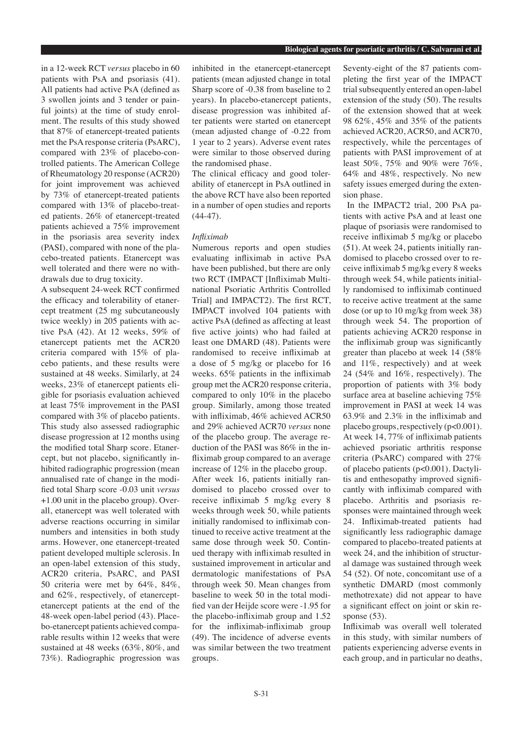in a 12-week RCT *versus* placebo in 60 patients with PsA and psoriasis (41). All patients had active PsA (defined as 3 swollen joints and 3 tender or painful joints) at the time of study enrolment. The results of this study showed that 87% of etanercept-treated patients met the PsA response criteria (PsARC), compared with 23% of placebo-controlled patients. The American College of Rheumatology 20 response (ACR20) for joint improvement was achieved by 73% of etanercept-treated patients compared with 13% of placebo-treated patients. 26% of etanercept-treated patients achieved a 75% improvement in the psoriasis area severity index (PASI), compared with none of the placebo-treated patients. Etanercept was well tolerated and there were no withdrawals due to drug toxicity.

A subsequent 24-week RCT confirmed the efficacy and tolerability of etanercept treatment (25 mg subcutaneously twice weekly) in 205 patients with active PsA (42). At 12 weeks, 59% of etanercept patients met the ACR20 criteria compared with 15% of placebo patients, and these results were sustained at 48 weeks. Similarly, at 24 weeks, 23% of etanercept patients eligible for psoriasis evaluation achieved at least 75% improvement in the PASI compared with 3% of placebo patients. This study also assessed radiographic disease progression at 12 months using the modified total Sharp score. Etanercept, but not placebo, significantly inhibited radiographic progression (mean annualised rate of change in the modified total Sharp score -0.03 unit *versus* +1.00 unit in the placebo group). Overall, etanercept was well tolerated with adverse reactions occurring in similar numbers and intensities in both study arms. However, one etanercept-treated patient developed multiple sclerosis. In an open-label extension of this study, ACR20 criteria, PsARC, and PASI 50 criteria were met by 64%, 84%, and 62%, respectively, of etanerceptetanercept patients at the end of the 48-week open-label period (43). Placebo-etanercept patients achieved comparable results within 12 weeks that were sustained at 48 weeks (63%, 80%, and 73%). Radiographic progression was

inhibited in the etanercept-etanercept patients (mean adjusted change in total Sharp score of -0.38 from baseline to 2 years). In placebo-etanercept patients, disease progression was inhibited after patients were started on etanercept (mean adjusted change of -0.22 from 1 year to 2 years). Adverse event rates were similar to those observed during the randomised phase.

The clinical efficacy and good tolerability of etanercept in PsA outlined in the above RCT have also been reported in a number of open studies and reports (44-47).

# *Infliximab*

Numerous reports and open studies evaluating infliximab in active PsA have been published, but there are only two RCT (IMPACT [Infliximab Multinational Psoriatic Arthritis Controlled Trial] and IMPACT2). The first RCT, IMPACT involved 104 patients with active PsA (defined as affecting at least five active joints) who had failed at least one DMARD (48). Patients were randomised to receive infliximab at a dose of 5 mg/kg or placebo for 16 weeks. 65% patients in the infliximab group met the ACR20 response criteria, compared to only 10% in the placebo group. Similarly, among those treated with infliximab, 46% achieved ACR50 and 29% achieved ACR70 *versus* none of the placebo group. The average reduction of the PASI was 86% in the infliximab group compared to an average increase of 12% in the placebo group. After week 16, patients initially randomised to placebo crossed over to receive infliximab 5 mg/kg every 8 weeks through week 50, while patients initially randomised to infliximab continued to receive active treatment at the same dose through week 50. Continued therapy with infliximab resulted in sustained improvement in articular and dermatologic manifestations of PsA through week 50. Mean changes from baseline to week 50 in the total modified van der Heijde score were -1.95 for the placebo-infliximab group and 1.52 for the infliximab-infliximab group (49). The incidence of adverse events was similar between the two treatment groups.

Seventy-eight of the 87 patients completing the first year of the IMPACT trial subsequently entered an open-label extension of the study (50). The results of the extension showed that at week 98 62%, 45% and 35% of the patients achieved ACR20, ACR50, and ACR70, respectively, while the percentages of patients with PASI improvement of at least 50%, 75% and 90% were 76%, 64% and 48%, respectively. No new safety issues emerged during the extension phase.

 In the IMPACT2 trial, 200 PsA patients with active PsA and at least one plaque of psoriasis were randomised to receive infliximab 5 mg/kg or placebo (51). At week 24, patients initially randomised to placebo crossed over to receive infliximab 5 mg/kg every 8 weeks through week 54, while patients initially randomised to infliximab continued to receive active treatment at the same dose (or up to 10 mg/kg from week 38) through week 54. The proportion of patients achieving ACR20 response in the infliximab group was significantly greater than placebo at week 14 (58% and 11%, respectively) and at week 24 (54% and 16%, respectively). The proportion of patients with 3% body surface area at baseline achieving 75% improvement in PASI at week 14 was 63.9% and 2.3% in the infliximab and placebo groups, respectively (p<0.001). At week 14, 77% of infliximab patients achieved psoriatic arthritis response criteria (PsARC) compared with 27% of placebo patients (p<0.001). Dactylitis and enthesopathy improved significantly with infliximab compared with placebo. Arthritis and psoriasis responses were maintained through week 24. Infliximab-treated patients had significantly less radiographic damage compared to placebo-treated patients at week 24, and the inhibition of structural damage was sustained through week 54 (52). Of note, concomitant use of a synthetic DMARD (most commonly methotrexate) did not appear to have a significant effect on joint or skin response  $(53)$ .

Infliximab was overall well tolerated in this study, with similar numbers of patients experiencing adverse events in each group, and in particular no deaths,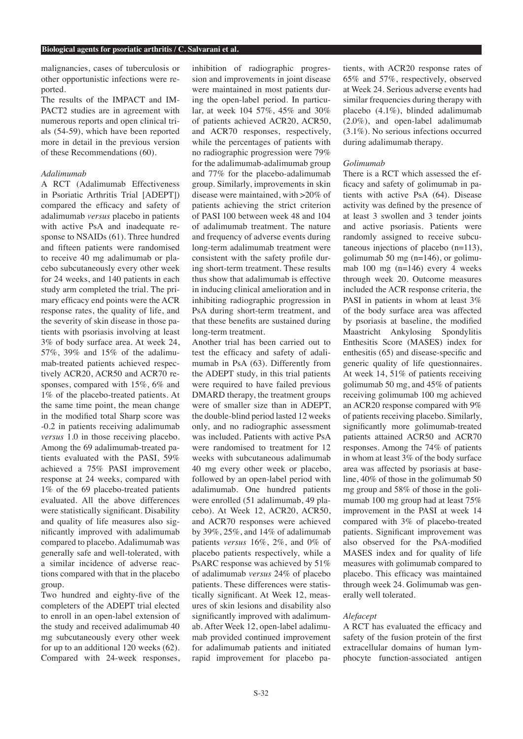malignancies, cases of tuberculosis or other opportunistic infections were reported.

The results of the IMPACT and IM-PACT2 studies are in agreement with numerous reports and open clinical trials (54-59), which have been reported more in detail in the previous version of these Recommendations (60).

## *Adalimumab*

A RCT (Adalimumab Effectiveness in Psoriatic Arthritis Trial [ADEPT]) compared the efficacy and safety of adalimumab *versus* placebo in patients with active PsA and inadequate response to NSAIDs (61). Three hundred and fifteen patients were randomised to receive 40 mg adalimumab or placebo subcutaneously every other week for 24 weeks, and 140 patients in each study arm completed the trial. The primary efficacy end points were the ACR response rates, the quality of life, and the severity of skin disease in those patients with psoriasis involving at least 3% of body surface area. At week 24, 57%, 39% and 15% of the adalimumab-treated patients achieved respectively ACR20, ACR50 and ACR70 responses, compared with 15%, 6% and 1% of the placebo-treated patients. At the same time point, the mean change in the modified total Sharp score was -0.2 in patients receiving adalimumab *versus* 1.0 in those receiving placebo. Among the 69 adalimumab-treated patients evaluated with the PASI, 59% achieved a 75% PASI improvement response at 24 weeks, compared with 1% of the 69 placebo-treated patients evaluated. All the above differences were statistically significant. Disability and quality of life measures also significantly improved with adalimumab compared to placebo. Adalimumab was generally safe and well-tolerated, with a similar incidence of adverse reactions compared with that in the placebo group.

Two hundred and eighty-five of the completers of the ADEPT trial elected to enroll in an open-label extension of the study and received adalimumab 40 mg subcutaneously every other week for up to an additional 120 weeks (62). Compared with 24-week responses, inhibition of radiographic progression and improvements in joint disease were maintained in most patients during the open-label period. In particular, at week 104 57%, 45% and 30% of patients achieved ACR20, ACR50, and ACR70 responses, respectively, while the percentages of patients with no radiographic progression were 79% for the adalimumab-adalimumab group and 77% for the placebo-adalimumab group. Similarly, improvements in skin disease were maintained, with >20% of patients achieving the strict criterion of PASI 100 between week 48 and 104 of adalimumab treatment. The nature and frequency of adverse events during long-term adalimumab treatment were consistent with the safety profile during short-term treatment. These results thus show that adalimumab is effective in inducing clinical amelioration and in inhibiting radiographic progression in PsA during short-term treatment, and that these benefits are sustained during long-term treatment.

Another trial has been carried out to test the efficacy and safety of adalimumab in PsA (63). Differently from the ADEPT study, in this trial patients were required to have failed previous DMARD therapy, the treatment groups were of smaller size than in ADEPT, the double-blind period lasted 12 weeks only, and no radiographic assessment was included. Patients with active PsA were randomised to treatment for 12 weeks with subcutaneous adalimumab 40 mg every other week or placebo, followed by an open-label period with adalimumab. One hundred patients were enrolled (51 adalimumab, 49 placebo). At Week 12, ACR20, ACR50, and ACR70 responses were achieved by 39%, 25%, and 14% of adalimumab patients *versus* 16%, 2%, and 0% of placebo patients respectively, while a PsARC response was achieved by 51% of adalimumab *versus* 24% of placebo patients. These differences were statistically significant. At Week 12, measures of skin lesions and disability also significantly improved with adalimumab. After Week 12, open-label adalimumab provided continued improvement for adalimumab patients and initiated rapid improvement for placebo pa-

tients, with ACR20 response rates of 65% and 57%, respectively, observed at Week 24. Serious adverse events had similar frequencies during therapy with placebo (4.1%), blinded adalimumab (2.0%), and open-label adalimumab (3.1%). No serious infections occurred during adalimumab therapy.

# *Golimumab*

There is a RCT which assessed the efficacy and safety of golimumab in patients with active PsA (64). Disease activity was defined by the presence of at least 3 swollen and 3 tender joints and active psoriasis. Patients were randomly assigned to receive subcutaneous injections of placebo (n=113), golimumab 50 mg  $(n=146)$ , or golimumab 100 mg (n=146) every 4 weeks through week 20. Outcome measures included the ACR response criteria, the PASI in patients in whom at least 3% of the body surface area was affected by psoriasis at baseline, the modified Maastricht Ankylosing Spondylitis Enthesitis Score (MASES) index for enthesitis (65) and disease-specific and generic quality of life questionnaires. At week 14, 51% of patients receiving golimumab 50 mg, and 45% of patients receiving golimumab 100 mg achieved an ACR20 response compared with 9% of patients receiving placebo. Similarly, significantly more golimumab-treated patients attained ACR50 and ACR70 responses. Among the 74% of patients in whom at least 3% of the body surface area was affected by psoriasis at baseline, 40% of those in the golimumab 50 mg group and 58% of those in the golimumab 100 mg group had at least 75% improvement in the PASI at week 14 compared with 3% of placebo-treated patients. Significant improvement was also observed for the PsA-modified MASES index and for quality of life measures with golimumab compared to placebo. This efficacy was maintained through week 24. Golimumab was generally well tolerated.

# *Alefacept*

A RCT has evaluated the efficacy and safety of the fusion protein of the first extracellular domains of human lymphocyte function-associated antigen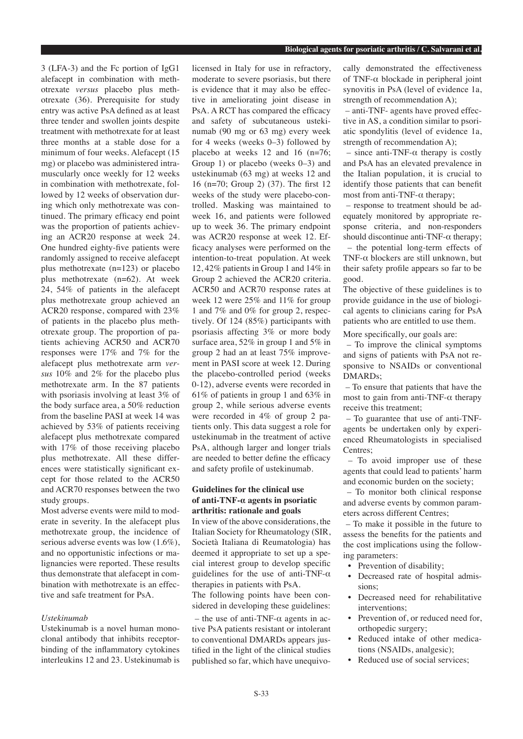3 (LFA-3) and the Fc portion of IgG1 alefacept in combination with methotrexate *versus* placebo plus methotrexate (36). Prerequisite for study entry was active PsA defined as at least three tender and swollen joints despite treatment with methotrexate for at least three months at a stable dose for a minimum of four weeks. Alefacept (15 mg) or placebo was administered intramuscularly once weekly for 12 weeks in combination with methotrexate, followed by 12 weeks of observation during which only methotrexate was continued. The primary efficacy end point was the proportion of patients achieving an ACR20 response at week 24. One hundred eighty-five patients were randomly assigned to receive alefacept plus methotrexate (n=123) or placebo plus methotrexate (n=62). At week 24, 54% of patients in the alefacept plus methotrexate group achieved an ACR20 response, compared with 23% of patients in the placebo plus methotrexate group. The proportion of patients achieving ACR50 and ACR70 responses were 17% and 7% for the alefacept plus methotrexate arm *versus* 10% and 2% for the placebo plus methotrexate arm. In the 87 patients with psoriasis involving at least 3% of the body surface area, a 50% reduction from the baseline PASI at week 14 was

alefacept plus methotrexate compared with 17% of those receiving placebo plus methotrexate. All these differences were statistically significant except for those related to the ACR50 and ACR70 responses between the two study groups. Most adverse events were mild to mod-

achieved by 53% of patients receiving

erate in severity. In the alefacept plus methotrexate group, the incidence of serious adverse events was low (1.6%), and no opportunistic infections or malignancies were reported. These results thus demonstrate that alefacept in combination with methotrexate is an effective and safe treatment for PsA.

# *Ustekinumab*

Ustekinumab is a novel human monoclonal antibody that inhibits receptorbinding of the inflammatory cytokines interleukins 12 and 23. Ustekinumab is licensed in Italy for use in refractory, moderate to severe psoriasis, but there is evidence that it may also be effective in ameliorating joint disease in PsA. A RCT has compared the efficacy and safety of subcutaneous ustekinumab (90 mg or 63 mg) every week for 4 weeks (weeks 0–3) followed by placebo at weeks 12 and 16 (n=76; Group 1) or placebo (weeks 0–3) and ustekinumab (63 mg) at weeks 12 and 16 (n=70; Group 2) (37). The first 12 weeks of the study were placebo-controlled. Masking was maintained to week 16, and patients were followed up to week 36. The primary endpoint was ACR20 response at week 12. Efficacy analyses were performed on the intention-to-treat population. At week 12, 42% patients in Group 1 and 14% in Group 2 achieved the ACR20 criteria. ACR50 and ACR70 response rates at week 12 were 25% and 11% for group 1 and 7% and 0% for group 2, respectively. Of 124 (85%) participants with psoriasis affecting 3% or more body surface area, 52% in group 1 and 5% in group 2 had an at least 75% improvement in PASI score at week 12. During the placebo-controlled period (weeks 0-12), adverse events were recorded in 61% of patients in group 1 and 63% in group 2, while serious adverse events were recorded in 4% of group 2 patients only. This data suggest a role for ustekinumab in the treatment of active PsA, although larger and longer trials are needed to better define the efficacy and safety profile of ustekinumab.

# **Guidelines for the clinical use of anti-TNF-α agents in psoriatic arthritis: rationale and goals**

In view of the above considerations, the Italian Society for Rheumatology (SIR, Società Italiana di Reumatologia) has deemed it appropriate to set up a special interest group to develop specific guidelines for the use of anti-TNF- $\alpha$ therapies in patients with PsA.

The following points have been considered in developing these guidelines:

– the use of anti-TNF- $\alpha$  agents in active PsA patients resistant or intolerant to conventional DMARDs appears justified in the light of the clinical studies published so far, which have unequivo-

#### **Biological agents for psoriatic arthritis / C. Salvarani et al.**

cally demonstrated the effectiveness of TNF- $\alpha$  blockade in peripheral joint synovitis in PsA (level of evidence 1a, strength of recommendation A);

 – anti-TNF- agents have proved effective in AS, a condition similar to psoriatic spondylitis (level of evidence 1a, strength of recommendation A);

 – since anti-TNF-α therapy is costly and PsA has an elevated prevalence in the Italian population, it is crucial to identify those patients that can benefit most from anti-TNF- $\alpha$  therapy:

 – response to treatment should be adequately monitored by appropriate response criteria, and non-responders should discontinue anti-TNF- $\alpha$  therapy;

 – the potential long-term effects of TNF-α blockers are still unknown, but their safety profile appears so far to be good.

The objective of these guidelines is to provide guidance in the use of biological agents to clinicians caring for PsA patients who are entitled to use them.

More specifically, our goals are:

 – To improve the clinical symptoms and signs of patients with PsA not responsive to NSAIDs or conventional DMARDs;

 – To ensure that patients that have the most to gain from anti-TNF- $\alpha$  therapy receive this treatment;

 – To guarantee that use of anti-TNFagents be undertaken only by experienced Rheumatologists in specialised Centres;

 – To avoid improper use of these agents that could lead to patients' harm and economic burden on the society;

 – To monitor both clinical response and adverse events by common parameters across different Centres;

– To make it possible in the future to assess the benefits for the patients and the cost implications using the following parameters:

- Prevention of disability;
- Decreased rate of hospital admissions;
- Decreased need for rehabilitative interventions;
- Prevention of, or reduced need for, orthopedic surgery;
- Reduced intake of other medications (NSAIDs, analgesic);
- Reduced use of social services: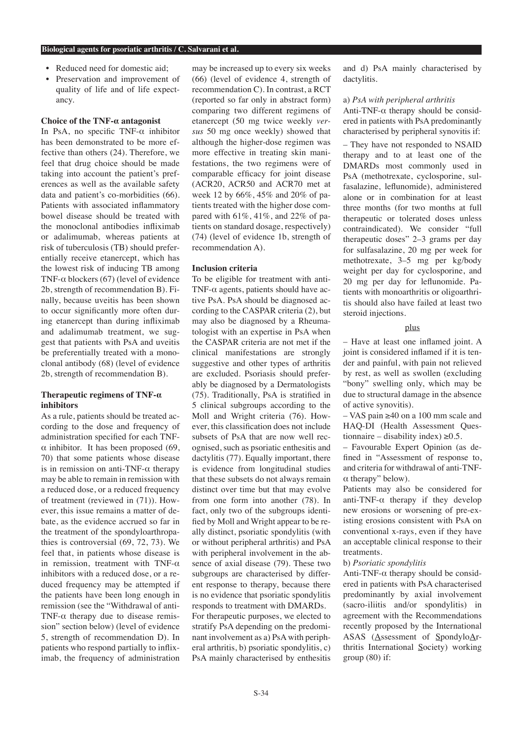- Reduced need for domestic aid;
- Preservation and improvement of quality of life and of life expectancy.

# **Choice of the TNF-α antagonist**

In PsA, no specific TNF- $\alpha$  inhibitor has been demonstrated to be more effective than others (24). Therefore, we feel that drug choice should be made taking into account the patient's preferences as well as the available safety data and patient's co-morbidities (66). Patients with associated inflammatory bowel disease should be treated with the monoclonal antibodies infliximab or adalimumab, whereas patients at risk of tuberculosis (TB) should preferentially receive etanercept, which has the lowest risk of inducing TB among TNF- $\alpha$  blockers (67) (level of evidence 2b, strength of recommendation B). Finally, because uveitis has been shown to occur significantly more often during etanercept than during infliximab and adalimumab treatment, we suggest that patients with PsA and uveitis be preferentially treated with a monoclonal antibody (68) (level of evidence 2b, strength of recommendation B).

# **Therapeutic regimens of TNF-α inhibitors**

As a rule, patients should be treated according to the dose and frequency of administration specified for each TNFα inhibitor. It has been proposed (69, 70) that some patients whose disease is in remission on anti-TNF- $\alpha$  therapy may be able to remain in remission with a reduced dose, or a reduced frequency of treatment (reviewed in (71)). However, this issue remains a matter of debate, as the evidence accrued so far in the treatment of the spondyloarthropathies is controversial (69, 72, 73). We feel that, in patients whose disease is in remission, treatment with TNF- $\alpha$ inhibitors with a reduced dose, or a reduced frequency may be attempted if the patients have been long enough in remission (see the "Withdrawal of anti-TNF- $\alpha$  therapy due to disease remission" section below) (level of evidence 5, strength of recommendation D). In patients who respond partially to infliximab, the frequency of administration

may be increased up to every six weeks (66) (level of evidence 4, strength of recommendation C). In contrast, a RCT (reported so far only in abstract form) comparing two different regimens of etanercept (50 mg twice weekly *versus* 50 mg once weekly) showed that although the higher-dose regimen was more effective in treating skin manifestations, the two regimens were of comparable efficacy for joint disease (ACR20, ACR50 and ACR70 met at week 12 by 66%, 45% and 20% of patients treated with the higher dose compared with 61%, 41%, and 22% of patients on standard dosage, respectively) (74) (level of evidence 1b, strength of recommendation A).

## **Inclusion criteria**

To be eligible for treatment with anti-TNF- $\alpha$  agents, patients should have active PsA. PsA should be diagnosed according to the CASPAR criteria (2), but may also be diagnosed by a Rheumatologist with an expertise in PsA when the CASPAR criteria are not met if the clinical manifestations are strongly suggestive and other types of arthritis are excluded. Psoriasis should preferably be diagnosed by a Dermatologists (75). Traditionally, PsA is stratified in 5 clinical subgroups according to the Moll and Wright criteria (76). However, this classification does not include subsets of PsA that are now well recognised, such as psoriatic enthesitis and dactylitis (77). Equally important, there is evidence from longitudinal studies that these subsets do not always remain distinct over time but that may evolve from one form into another (78). In fact, only two of the subgroups identified by Moll and Wright appear to be really distinct, psoriatic spondylitis (with or without peripheral arthritis) and PsA with peripheral involvement in the absence of axial disease (79). These two subgroups are characterised by different response to therapy, because there is no evidence that psoriatic spondylitis responds to treatment with DMARDs. For therapeutic purposes, we elected to stratify PsA depending on the predominant involvement as a) PsA with peripheral arthritis, b) psoriatic spondylitis, c) PsA mainly characterised by enthesitis

and d) PsA mainly characterised by dactylitis.

#### a) *PsA with peripheral arthritis*

Anti-TNF- $\alpha$  therapy should be considered in patients with PsA predominantly characterised by peripheral synovitis if:

– They have not responded to NSAID therapy and to at least one of the DMARDs most commonly used in PsA (methotrexate, cyclosporine, sulfasalazine, leflunomide), administered alone or in combination for at least three months (for two months at full therapeutic or tolerated doses unless contraindicated). We consider "full therapeutic doses" 2–3 grams per day for sulfasalazine, 20 mg per week for methotrexate, 3–5 mg per kg/body weight per day for cyclosporine, and 20 mg per day for leflunomide. Patients with monoarthritis or oligoarthritis should also have failed at least two steroid injections.

# plus

– Have at least one inflamed joint. A joint is considered inflamed if it is tender and painful, with pain not relieved by rest, as well as swollen (excluding "bony" swelling only, which may be due to structural damage in the absence of active synovitis).

– VAS pain ≥40 on a 100 mm scale and HAQ-DI (Health Assessment Questionnaire – disability index)  $\geq 0.5$ .

– Favourable Expert Opinion (as defined in "Assessment of response to, and criteria for withdrawal of anti-TNFα therapy" below).

Patients may also be considered for anti-TNF- $\alpha$  therapy if they develop new erosions or worsening of pre-existing erosions consistent with PsA on conventional x-rays, even if they have an acceptable clinical response to their treatments.

## b) *Psoriatic spondylitis*

Anti-TNF- $\alpha$  therapy should be considered in patients with PsA characterised predominantly by axial involvement (sacro-iliitis and/or spondylitis) in agreement with the Recommendations recently proposed by the International ASAS (Assessment of SpondyloArthritis International Society) working group (80) if: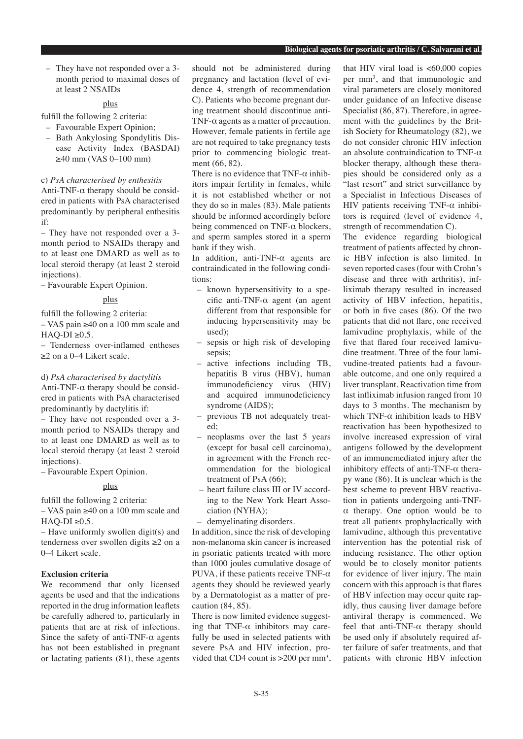– They have not responded over a 3 month period to maximal doses of at least 2 NSAIDs

## plus

fulfill the following 2 criteria:

- Favourable Expert Opinion;
- Bath Ankylosing Spondylitis Disease Activity Index (BASDAI)  $≥40$  mm (VAS 0–100 mm)

#### c) *PsA characterised by enthesitis*

Anti-TNF- $\alpha$  therapy should be considered in patients with PsA characterised predominantly by peripheral enthesitis if:

– They have not responded over a 3 month period to NSAIDs therapy and to at least one DMARD as well as to local steroid therapy (at least 2 steroid injections).

– Favourable Expert Opinion.

#### plus

fulfill the following 2 criteria:

– VAS pain ≥40 on a 100 mm scale and  $HAO-DI \geq 0.5$ .

– Tenderness over-inflamed entheses ≥2 on a 0–4 Likert scale.

#### d) *PsA characterised by dactylitis*

Anti-TNF- $\alpha$  therapy should be considered in patients with PsA characterised predominantly by dactylitis if:

– They have not responded over a 3 month period to NSAIDs therapy and to at least one DMARD as well as to local steroid therapy (at least 2 steroid injections).

– Favourable Expert Opinion.

#### plus

fulfill the following 2 criteria:

– VAS pain ≥40 on a 100 mm scale and  $HAQ-DI \geq 0.5$ .

– Have uniformly swollen digit(s) and tenderness over swollen digits ≥2 on a 0–4 Likert scale.

# **Exclusion criteria**

We recommend that only licensed agents be used and that the indications reported in the drug information leaflets be carefully adhered to, particularly in patients that are at risk of infections. Since the safety of anti-TNF- $\alpha$  agents has not been established in pregnant or lactating patients (81), these agents should not be administered during pregnancy and lactation (level of evidence 4, strength of recommendation C). Patients who become pregnant during treatment should discontinue anti-TNF- $\alpha$  agents as a matter of precaution. However, female patients in fertile age are not required to take pregnancy tests prior to commencing biologic treatment (66, 82).

There is no evidence that TNF- $\alpha$  inhibitors impair fertility in females, while it is not established whether or not they do so in males (83). Male patients should be informed accordingly before being commenced on  $TNF-\alpha$  blockers, and sperm samples stored in a sperm bank if they wish.

In addition, anti-TNF-α agents are contraindicated in the following conditions:

- known hypersensitivity to a specific anti-TNF-α agent (an agent different from that responsible for inducing hypersensitivity may be used);
- sepsis or high risk of developing sepsis:
- active infections including TB, hepatitis B virus (HBV), human immunodeficiency virus (HIV) and acquired immunodeficiency syndrome (AIDS);
- previous TB not adequately treated;
- neoplasms over the last 5 years (except for basal cell carcinoma), in agreement with the French recommendation for the biological treatment of PsA (66);
- heart failure class III or IV according to the New York Heart Association (NYHA);
- demyelinating disorders.

In addition, since the risk of developing non-melanoma skin cancer is increased in psoriatic patients treated with more than 1000 joules cumulative dosage of PUVA, if these patients receive TNF- $\alpha$ agents they should be reviewed yearly by a Dermatologist as a matter of precaution (84, 85).

There is now limited evidence suggesting that TNF- $\alpha$  inhibitors may carefully be used in selected patients with severe PsA and HIV infection, provided that CD4 count is  $>200$  per mm<sup>3</sup>,

that HIV viral load is  $< 60,000$  copies per mm3 , and that immunologic and viral parameters are closely monitored under guidance of an Infective disease Specialist (86, 87). Therefore, in agreement with the guidelines by the British Society for Rheumatology (82), we do not consider chronic HIV infection an absolute contraindication to TNF- $\alpha$ blocker therapy, although these therapies should be considered only as a "last resort" and strict surveillance by a Specialist in Infectious Diseases of HIV patients receiving TNF- $\alpha$  inhibitors is required (level of evidence 4, strength of recommendation C).

The evidence regarding biological treatment of patients affected by chronic HBV infection is also limited. In seven reported cases (four with Crohn's disease and three with arthritis), infliximab therapy resulted in increased activity of HBV infection, hepatitis, or both in five cases (86). Of the two patients that did not flare, one received lamivudine prophylaxis, while of the five that flared four received lamivudine treatment. Three of the four lamivudine-treated patients had a favourable outcome, and one only required a liver transplant. Reactivation time from last infliximab infusion ranged from 10 days to 3 months. The mechanism by which TNF- $\alpha$  inhibition leads to HBV reactivation has been hypothesized to involve increased expression of viral antigens followed by the development of an immunemediated injury after the inhibitory effects of anti-TNF- $\alpha$  therapy wane (86). It is unclear which is the best scheme to prevent HBV reactivation in patients undergoing anti-TNFα therapy. One option would be to treat all patients prophylactically with lamivudine, although this preventative intervention has the potential risk of inducing resistance. The other option would be to closely monitor patients for evidence of liver injury. The main concern with this approach is that flares of HBV infection may occur quite rapidly, thus causing liver damage before antiviral therapy is commenced. We feel that anti-TNF-α therapy should be used only if absolutely required after failure of safer treatments, and that patients with chronic HBV infection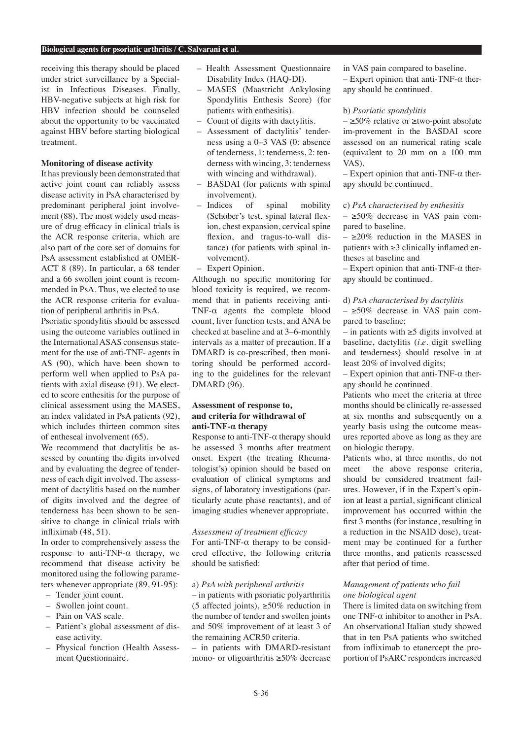receiving this therapy should be placed under strict surveillance by a Specialist in Infectious Diseases. Finally, HBV-negative subjects at high risk for HBV infection should be counseled about the opportunity to be vaccinated against HBV before starting biological treatment.

## **Monitoring of disease activity**

It has previously been demonstrated that active joint count can reliably assess disease activity in PsA characterised by predominant peripheral joint involvement (88). The most widely used measure of drug efficacy in clinical trials is the ACR response criteria, which are also part of the core set of domains for PsA assessment established at OMER-ACT 8 (89). In particular, a 68 tender and a 66 swollen joint count is recommended in PsA. Thus, we elected to use the ACR response criteria for evaluation of peripheral arthritis in PsA.

Psoriatic spondylitis should be assessed using the outcome variables outlined in the International ASAS consensus statement for the use of anti-TNF- agents in AS (90), which have been shown to perform well when applied to PsA patients with axial disease (91). We elected to score enthesitis for the purpose of clinical assessment using the MASES, an index validated in PsA patients (92), which includes thirteen common sites of entheseal involvement (65).

We recommend that dactylitis be assessed by counting the digits involved and by evaluating the degree of tenderness of each digit involved. The assessment of dactylitis based on the number of digits involved and the degree of tenderness has been shown to be sensitive to change in clinical trials with infliximab (48, 51).

In order to comprehensively assess the response to anti-TNF- $\alpha$  therapy, we recommend that disease activity be monitored using the following parameters whenever appropriate (89, 91-95):

- Tender joint count.
- Swollen joint count.
- Pain on VAS scale.
- Patient's global assessment of disease activity.
- Physical function (Health Assessment Questionnaire.
- Health Assessment Questionnaire Disability Index (HAQ-DI).
- MASES (Maastricht Ankylosing Spondylitis Enthesis Score) (for patients with enthesitis).
- Count of digits with dactylitis.
- Assessment of dactylitis' tenderness using a 0–3 VAS (0: absence of tenderness, 1: tenderness, 2: tenderness with wincing, 3: tenderness with wincing and withdrawal).
- BASDAI (for patients with spinal involvement).
- Indices of spinal mobility (Schober's test, spinal lateral flexion, chest expansion, cervical spine flexion, and tragus-to-wall distance) (for patients with spinal involvement).
- Expert Opinion.

Although no specific monitoring for blood toxicity is required, we recommend that in patients receiving anti-TNF-α agents the complete blood count, liver function tests, and ANA be checked at baseline and at 3–6-monthly intervals as a matter of precaution. If a DMARD is co-prescribed, then monitoring should be performed according to the guidelines for the relevant DMARD (96).

# **Assessment of response to, and criteria for withdrawal of anti-TNF-α therapy**

Response to anti-TNF- $\alpha$  therapy should be assessed 3 months after treatment onset. Expert (the treating Rheumatologist's) opinion should be based on evaluation of clinical symptoms and signs, of laboratory investigations (particularly acute phase reactants), and of imaging studies whenever appropriate.

# *Assessment of treatment efficacy*

For anti-TNF- $\alpha$  therapy to be considered effective, the following criteria should be satisfied:

## a) *PsA with peripheral arthritis*

– in patients with psoriatic polyarthritis (5 affected joints),  $\geq 50\%$  reduction in the number of tender and swollen joints and 50% improvement of at least 3 of the remaining ACR50 criteria.

– in patients with DMARD-resistant mono- or oligoarthritis ≥50% decrease in VAS pain compared to baseline.

– Expert opinion that anti-TNF- $\alpha$  therapy should be continued.

#### b) *Psoriatic spondylitis*

 $-$  ≥50% relative or ≥two-point absolute im-provement in the BASDAI score assessed on an numerical rating scale (equivalent to 20 mm on a 100 mm VAS).

– Expert opinion that anti-TNF-α therapy should be continued.

## c) *PsA characterised by enthesitis*

 $- \geq 50\%$  decrease in VAS pain compared to baseline.

 $-$  >20% reduction in the MASES in patients with ≥3 clinically inflamed entheses at baseline and

– Expert opinion that anti-TNF-α therapy should be continued.

## d) *PsA characterised by dactylitis*

 $- \geq 50\%$  decrease in VAS pain compared to baseline;

– in patients with ≥5 digits involved at baseline, dactylitis (*i.e*. digit swelling and tenderness) should resolve in at least 20% of involved digits;

– Expert opinion that anti-TNF-α therapy should be continued.

Patients who meet the criteria at three months should be clinically re-assessed at six months and subsequently on a yearly basis using the outcome measures reported above as long as they are on biologic therapy.

Patients who, at three months, do not meet the above response criteria, should be considered treatment failures. However, if in the Expert's opinion at least a partial, significant clinical improvement has occurred within the first 3 months (for instance, resulting in a reduction in the NSAID dose), treatment may be continued for a further three months, and patients reassessed after that period of time.

# *Management of patients who fail one biological agent*

There is limited data on switching from one TNF-α inhibitor to another in PsA. An observational Italian study showed that in ten PsA patients who switched from infliximab to etanercept the proportion of PsARC responders increased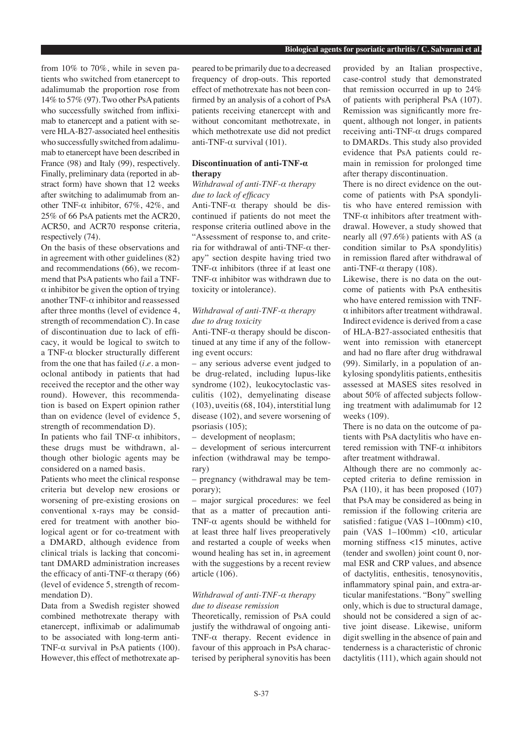from 10% to 70%, while in seven patients who switched from etanercept to adalimumab the proportion rose from 14% to 57% (97). Two other PsA patients who successfully switched from infliximab to etanercept and a patient with severe HLA-B27-associated heel enthesitis who successfully switched from adalimumab to etanercept have been described in France (98) and Italy (99), respectively. Finally, preliminary data (reported in abstract form) have shown that 12 weeks after switching to adalimumab from another TNF- $α$  inhibitor, 67%, 42%, and 25% of 66 PsA patients met the ACR20, ACR50, and ACR70 response criteria, respectively  $(74)$ .

On the basis of these observations and in agreement with other guidelines (82) and recommendations (66), we recommend that PsA patients who fail a TNF- $\alpha$  inhibitor be given the option of trying another TNF- $\alpha$  inhibitor and reassessed after three months (level of evidence 4, strength of recommendation C). In case of discontinuation due to lack of efficacy, it would be logical to switch to a TNF-α blocker structurally different from the one that has failed (*i.e*. a monoclonal antibody in patients that had received the receptor and the other way round). However, this recommendation is based on Expert opinion rather than on evidence (level of evidence 5, strength of recommendation D).

In patients who fail TNF- $\alpha$  inhibitors, these drugs must be withdrawn, although other biologic agents may be considered on a named basis.

Patients who meet the clinical response criteria but develop new erosions or worsening of pre-existing erosions on conventional x-rays may be considered for treatment with another biological agent or for co-treatment with a DMARD, although evidence from clinical trials is lacking that concomitant DMARD administration increases the efficacy of anti-TNF- $α$  therapy (66) (level of evidence 5, strength of recommendation D).

Data from a Swedish register showed combined methotrexate therapy with etanercept, infliximab or adalimumab to be associated with long-term anti-TNF- $\alpha$  survival in PsA patients (100). However, this effect of methotrexate appeared to be primarily due to a decreased frequency of drop-outs. This reported effect of methotrexate has not been confirmed by an analysis of a cohort of PsA patients receiving etanercept with and without concomitant methotrexate, in which methotrexate use did not predict anti-TNF-α survival (101).

# **Discontinuation of anti-TNF-α therapy**

## *Withdrawal of anti-TNF-α therapy due to lack of efficacy*

Anti-TNF-α therapy should be discontinued if patients do not meet the response criteria outlined above in the "Assessment of response to, and criteria for withdrawal of anti-TNF-α therapy" section despite having tried two TNF- $\alpha$  inhibitors (three if at least one TNF- $\alpha$  inhibitor was withdrawn due to toxicity or intolerance).

# *Withdrawal of anti-TNF-α therapy due to drug toxicity*

Anti-TNF-α therapy should be discontinued at any time if any of the following event occurs:

– any serious adverse event judged to be drug-related, including lupus-like syndrome (102), leukocytoclastic vasculitis (102), demyelinating disease (103), uveitis (68, 104), interstitial lung disease (102), and severe worsening of psoriasis (105);

– development of neoplasm;

– development of serious intercurrent infection (withdrawal may be temporary)

– pregnancy (withdrawal may be temporary);

– major surgical procedures: we feel that as a matter of precaution anti-TNF- $\alpha$  agents should be withheld for at least three half lives preoperatively and restarted a couple of weeks when wound healing has set in, in agreement with the suggestions by a recent review article (106).

## *Withdrawal of anti-TNF-α therapy due to disease remission*

Theoretically, remission of PsA could justify the withdrawal of ongoing anti-TNF-α therapy. Recent evidence in favour of this approach in PsA characterised by peripheral synovitis has been provided by an Italian prospective, case-control study that demonstrated that remission occurred in up to 24% of patients with peripheral PsA (107). Remission was significantly more frequent, although not longer, in patients receiving anti-TNF-α drugs compared to DMARDs. This study also provided evidence that PsA patients could remain in remission for prolonged time after therapy discontinuation.

There is no direct evidence on the outcome of patients with PsA spondylitis who have entered remission with TNF- $\alpha$  inhibitors after treatment withdrawal. However, a study showed that nearly all (97.6%) patients with AS (a condition similar to PsA spondylitis) in remission flared after withdrawal of anti-TNF- $\alpha$  therapy (108).

Likewise, there is no data on the outcome of patients with PsA enthesitis who have entered remission with TNF- $\alpha$  inhibitors after treatment withdrawal. Indirect evidence is derived from a case of HLA-B27-associated enthesitis that went into remission with etanercept and had no flare after drug withdrawal (99). Similarly, in a population of ankylosing spondylitis patients, enthesitis assessed at MASES sites resolved in about 50% of affected subjects following treatment with adalimumab for 12 weeks (109).

There is no data on the outcome of patients with PsA dactylitis who have entered remission with TNF- $\alpha$  inhibitors after treatment withdrawal.

Although there are no commonly accepted criteria to define remission in PsA (110), it has been proposed (107) that PsA may be considered as being in remission if the following criteria are satisfied : fatigue (VAS 1-100mm) <10, pain (VAS 1–100mm) <10, articular morning stiffness <15 minutes, active (tender and swollen) joint count 0, normal ESR and CRP values, and absence of dactylitis, enthesitis, tenosynovitis, inflammatory spinal pain, and extra-articular manifestations. "Bony" swelling only, which is due to structural damage, should not be considered a sign of active joint disease. Likewise, uniform digit swelling in the absence of pain and tenderness is a characteristic of chronic dactylitis (111), which again should not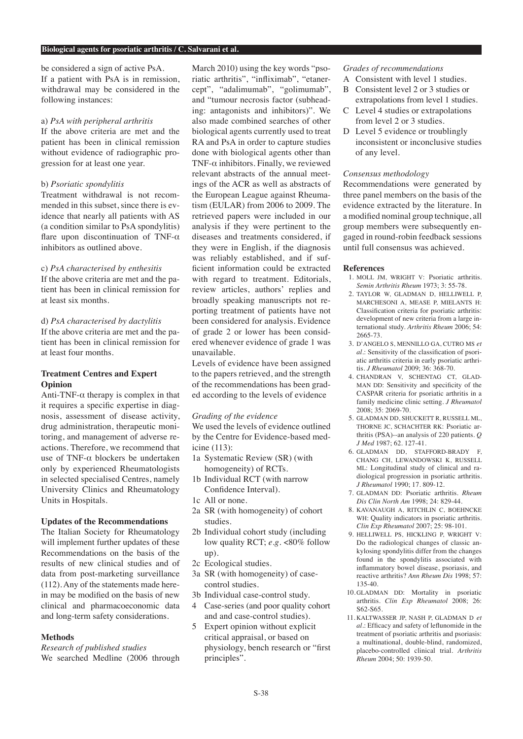be considered a sign of active PsA. If a patient with PsA is in remission, withdrawal may be considered in the following instances:

# a) *PsA with peripheral arthritis*

If the above criteria are met and the patient has been in clinical remission without evidence of radiographic progression for at least one year.

## b) *Psoriatic spondylitis*

Treatment withdrawal is not recommended in this subset, since there is evidence that nearly all patients with AS (a condition similar to PsA spondylitis) flare upon discontinuation of TNF- $\alpha$ inhibitors as outlined above.

#### c) *PsA characterised by enthesitis*

If the above criteria are met and the patient has been in clinical remission for at least six months.

# d) *PsA characterised by dactylitis*

If the above criteria are met and the patient has been in clinical remission for at least four months.

# **Treatment Centres and Expert Opinion**

Anti-TNF- $\alpha$  therapy is complex in that it requires a specific expertise in diagnosis, assessment of disease activity, drug administration, therapeutic monitoring, and management of adverse reactions. Therefore, we recommend that use of TNF- $α$  blockers be undertaken only by experienced Rheumatologists in selected specialised Centres, namely University Clinics and Rheumatology Units in Hospitals.

# **Updates of the Recommendations**

The Italian Society for Rheumatology will implement further updates of these Recommendations on the basis of the results of new clinical studies and of data from post-marketing surveillance (112). Any of the statements made herein may be modified on the basis of new clinical and pharmacoeconomic data and long-term safety considerations.

## **Methods**

*Research of published studies* We searched Medline (2006 through March 2010) using the key words "psoriatic arthritis", "infliximab", "etanercept", "adalimumab", "golimumab", and "tumour necrosis factor (subheading: antagonists and inhibitors)". We also made combined searches of other biological agents currently used to treat RA and PsA in order to capture studies done with biological agents other than TNF- $\alpha$  inhibitors. Finally, we reviewed relevant abstracts of the annual meetings of the ACR as well as abstracts of the European League against Rheumatism (EULAR) from 2006 to 2009. The retrieved papers were included in our analysis if they were pertinent to the diseases and treatments considered, if they were in English, if the diagnosis was reliably established, and if sufficient information could be extracted with regard to treatment. Editorials, review articles, authors' replies and broadly speaking manuscripts not reporting treatment of patients have not been considered for analysis. Evidence of grade 2 or lower has been considered whenever evidence of grade 1 was unavailable.

Levels of evidence have been assigned to the papers retrieved, and the strength of the recommendations has been graded according to the levels of evidence

#### *Grading of the evidence*

We used the levels of evidence outlined by the Centre for Evidence-based medicine (113):

- 1a Systematic Review (SR) (with homogeneity) of RCTs.
- 1b Individual RCT (with narrow Confidence Interval).
- 1c All or none.
- 2a SR (with homogeneity) of cohort studies.
- 2b Individual cohort study (including low quality RCT; *e.g.* <80% follow up).
- 2c Ecological studies.
- 3a SR (with homogeneity) of casecontrol studies.
- 3b Individual case-control study.
- 4 Case-series (and poor quality cohort and and case-control studies).
- 5 Expert opinion without explicit critical appraisal, or based on physiology, bench research or "first principles".

## *Grades of recommendations*

- A Consistent with level 1 studies.
- B Consistent level 2 or 3 studies or extrapolations from level 1 studies.
- C Level 4 studies or extrapolations from level 2 or 3 studies.
- D Level 5 evidence or troublingly inconsistent or inconclusive studies of any level.

## *Consensus methodology*

Recommendations were generated by three panel members on the basis of the evidence extracted by the literature. In a modified nominal group technique, all group members were subsequently engaged in round-robin feedback sessions until full consensus was achieved.

## **References**

- 1. MOLL JM, WRIGHT V: Psoriatic arthritis. *Semin Arthritis Rheum* 1973; 3: 55-78.
- 2. TAYLOR W, GLADMAN D, HELLIWELL P MARCHESONI A, MEASE P, MIELANTS H: Classification criteria for psoriatic arthritis: development of new criteria from a large international study. *Arthritis Rheum* 2006; 54: 2665-73.
- 3. D'ANGELO S, MENNILLO GA, CUTRO MS *et al.*: Sensitivity of the classification of psoriatic arthritis criteria in early psoriatic arthritis. *J Rheumatol* 2009; 36: 368-70.
- 4. CHANDRAN V, SCHENTAG CT, GLAD-MAN DD: Sensitivity and specificity of the CASPAR criteria for psoriatic arthritis in a family medicine clinic setting. *J Rheumatol*  2008; 35: 2069-70.
- 5. GLADMAN DD, SHUCKETT R, RUSSELL ML, THORNE JC, SCHACHTER RK: Psoriatic arthritis (PSA)--an analysis of 220 patients. *Q J Med* 1987; 62. 127-41.
- 6. GLADMAN DD, STAFFORD-BRADY F, CHANG CH, LEWANDOWSKI K, RUSSELL ML: Longitudinal study of clinical and radiological progression in psoriatic arthritis. *J Rheumatol* 1990; 17. 809-12.
- 7. GLADMAN DD: Psoriatic arthritis. *Rheum Dis Clin North Am* 1998; 24: 829-44.
- 8. KAVANAUGH A, RITCHLIN C, BOEHNCKE WH: Quality indicators in psoriatic arthritis. *Clin Exp Rheumatol* 2007; 25: 98-101.
- 9. HELLIWELL PS, HICKLING P, WRIGHT V: Do the radiological changes of classic ankylosing spondylitis differ from the changes found in the spondylitis associated with inflammatory bowel disease, psoriasis, and reactive arthritis? *Ann Rheum Dis* 1998; 57: 135-40.
- 10. GLADMAN DD: Mortality in psoriatic arthritis. *Clin Exp Rheumatol* 2008; 26: S62-S65.
- 11. KALTWASSER JP, NASH P, GLADMAN D *et al.*: Efficacy and safety of leflunomide in the treatment of psoriatic arthritis and psoriasis: a multinational, double-blind, randomized, placebo-controlled clinical trial. *Arthritis Rheum* 2004; 50: 1939-50.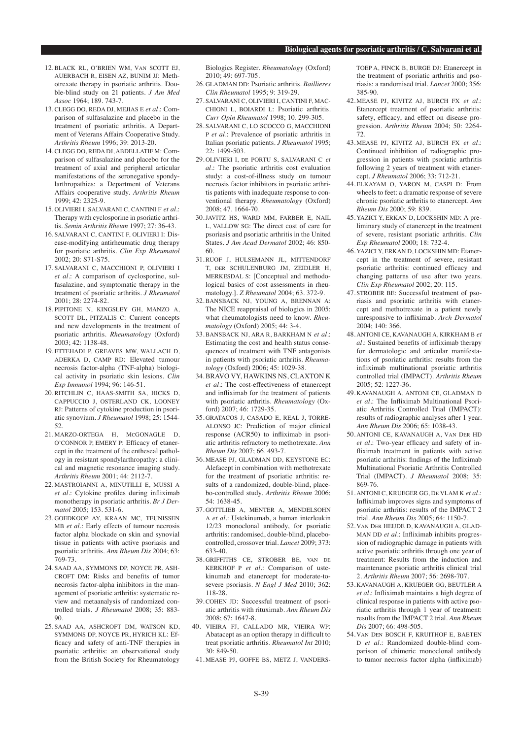- 12. BLACK RL, O'BRIEN WM, VAN SCOTT EJ, AUERBACH R, EISEN AZ, BUNIM JJ: Methotrexate therapy in psoriatic arthritis. Double-blind study on 21 patients. *J Am Med Assoc* 1964; 189. 743-7.
- 13. CLEGG DO, REDA DJ, MEJIAS E *et al.*: Comparison of sulfasalazine and placebo in the treatment of psoriatic arthritis. A Department of Veterans Affairs Cooperative Study. *Arthritis Rheum* 1996; 39: 2013-20.
- 14. CLEGG DO, REDA DJ, ABDELLATIF M: Comparison of sulfasalazine and placebo for the treatment of axial and peripheral articular manifestations of the seronegative spondylarthropathies: a Department of Veterans Affairs cooperative study. *Arthritis Rheum* 1999; 42: 2325-9.
- 15. OLIVIERI I, SALVARANI C, CANTINI F *et al.*: Therapy with cyclosporine in psoriatic arthritis. *Semin Arthritis Rheum* 1997; 27: 36-43.
- 16. SALVARANI C, CANTINI F, OLIVIERI I: Disease-modifying antirheumatic drug therapy for psoriatic arthritis. *Clin Exp Rheumatol* 2002; 20: S71-S75.
- 17. SALVARANI C, MACCHIONI P, OLIVIERI I *et al.*: A comparison of cyclosporine, sulfasalazine, and symptomatic therapy in the treatment of psoriatic arthritis. *J Rheumatol*  2001; 28: 2274-82.
- 18. PIPITONE N, KINGSLEY GH, MANZO A, SCOTT DL, PITZALIS C: Current concepts and new developments in the treatment of psoriatic arthritis. *Rheumatology* (Oxford) 2003; 42: 1138-48.
- 19. ETTEHADI P, GREAVES MW, WALLACH D, ADERKA D, CAMP RD: Elevated tumour necrosis factor-alpha (TNF-alpha) biological activity in psoriatic skin lesions. *Clin Exp Immunol* 1994; 96: 146-51.
- 20. RITCHLIN C, HAAS-SMITH SA, HICKS D, CAPPUCCIO J, OSTERLAND CK, LOONEY RJ: Patterns of cytokine production in psoriatic synovium. *J Rheumatol* 1998; 25: 1544- 52.
- 21. MARZO-ORTEGA H, MCGONAGLE D, O'CONNOR P, EMERY P: Efficacy of etanercept in the treatment of the entheseal pathology in resistant spondylarthropathy: a clinical and magnetic resonance imaging study. *Arthritis Rheum* 2001; 44: 2112-7.
- 22. MASTROIANNI A, MINUTILLI E, MUSSI A *et al.*: Cytokine profiles during infliximab monotherapy in psoriatic arthritis. *Br J Dermatol* 2005; 153. 531-6.
- 23. GOEDKOOP AY, KRAAN MC, TEUNISSEN MB *et al.*: Early effects of tumour necrosis factor alpha blockade on skin and synovial tissue in patients with active psoriasis and psoriatic arthritis. *Ann Rheum Dis* 2004; 63: 769-73.
- 24. SAAD AA, SYMMONS DP, NOYCE PR, ASH-CROFT DM: Risks and benefits of tumor necrosis factor-alpha inhibitors in the management of psoriatic arthritis: systematic review and metaanalysis of randomized controlled trials. *J Rheumatol* 2008; 35: 883- 90.
- 25. SAAD AA, ASHCROFT DM, WATSON KD, SYMMONS DP, NOYCE PR, HYRICH KL: Efficacy and safety of anti-TNF therapies in psoriatic arthritis: an observational study from the British Society for Rheumatology

Biologics Register. *Rheumatology* (Oxford) 2010; 49: 697-705.

- 26. GLADMAN DD: Psoriatic arthritis. *Baillieres Clin Rheumatol* 1995; 9: 319-29.
- 27. SALVARANI C, OLIVIERI I, CANTINI F, MAC-CHIONI L, BOIARDI L: Psoriatic arthritis. *Curr Opin Rheumatol* 1998; 10. 299-305.
- 28. SALVARANI C, LO SCOCCO G, MACCHIONI P *et al.*: Prevalence of psoriatic arthritis in Italian psoriatic patients. *J Rheumatol* 1995; 22: 1499-503.
- 29. OLIVIERI I, DE PORTU S, SALVARANI C *et al.*: The psoriatic arthritis cost evaluation study: a cost-of-illness study on tumour necrosis factor inhibitors in psoriatic arthritis patients with inadequate response to conventional therapy. *Rheumatology* (Oxford) 2008; 47. 1664-70.
- 30. JAVITZ HS, WARD MM, FARBER E, NAIL L, VALLOW SG: The direct cost of care for psoriasis and psoriatic arthritis in the United States. *J Am Acad Dermatol* 2002; 46: 850- 60.
- 31. RUOF J, HULSEMANN JL, MITTENDORF T, DER SCHULENBURG JM, ZEIDLER H, MERKESDAL S: [Conceptual and methodological basics of cost assessments in rheumatology.]. *Z Rheumatol* 2004; 63. 372-9.
- 32. BANSBACK NJ, YOUNG A, BRENNAN A: The NICE reappraisal of biologics in 2005: what rheumatologists need to know. *Rheumatology* (Oxford) 2005; 44: 3-4.
- 33. BANSBACK NJ, ARA R, BARKHAM N *et al.*: Estimating the cost and health status consequences of treatment with TNF antagonists in patients with psoriatic arthritis. *Rheumatology* (Oxford) 2006; 45: 1029-38.
- 34. BRAVO VY, HAWKINS NS, CLAXTON K *et al.*: The cost-effectiveness of etanercept and infliximab for the treatment of patients with psoriatic arthritis. *Rheumatology* (Oxford) 2007; 46: 1729-35.
- 35. GRATACOS J, CASADO E, REAL J, TORRE-ALONSO JC: Prediction of major clinical response (ACR50) to infliximab in psoriatic arthritis refractory to methotrexate. *Ann Rheum Dis* 2007; 66. 493-7.
- 36. MEASE PJ, GLADMAN DD, KEYSTONE EC: Alefacept in combination with methotrexate for the treatment of psoriatic arthritis: results of a randomized, double-blind, placebo-controlled study. *Arthritis Rheum* 2006; 54: 1638-45.
- 37. GOTTLIEB A, MENTER A, MENDELSOHN A *et al.*: Ustekinumab, a human interleukin 12/23 monoclonal antibody, for psoriatic arthritis: randomised, double-blind, placebocontrolled, crossover trial. *Lancet* 2009; 373: 633-40.
- 38. GRIFFITHS CE, STROBER BE, VAN DE KERKHOF P *et al.*: Comparison of ustekinumab and etanercept for moderate-tosevere psoriasis. *N Engl J Med* 2010; 362: 118-28.
- 39. COHEN JD: Successful treatment of psoriatic arthritis with rituximab. *Ann Rheum Dis* 2008; 67: 1647-8.
- 40. VIEIRA FJ, CALLADO MR, VIEIRA WP: Abatacept as an option therapy in difficult to treat psoriatic arthritis. *Rheumatol Int* 2010; 30: 849-50.
- 41. MEASE PJ, GOFFE BS, METZ J, VANDERS-

TOEP A, FINCK B, BURGE DJ: Etanercept in the treatment of psoriatic arthritis and psoriasis: a randomised trial. *Lancet* 2000; 356: 385-90.

- 42. MEASE PJ, KIVITZ AJ, BURCH FX *et al.*: Etanercept treatment of psoriatic arthritis: safety, efficacy, and effect on disease progression. *Arthritis Rheum* 2004; 50: 2264- 72.
- 43. MEASE PJ, KIVITZ AJ, BURCH FX *et al.*: Continued inhibition of radiographic progression in patients with psoriatic arthritis following 2 years of treatment with etanercept. *J Rheumatol* 2006; 33: 712-21.
- 44. ELKAYAM O, YARON M, CASPI D: From wheels to feet: a dramatic response of severe chronic psoriatic arthritis to etanercept. *Ann Rheum Dis* 2000; 59: 839.
- 45. YAZICI Y, ERKAN D, LOCKSHIN MD: A preliminary study of etanercept in the treatment of severe, resistant psoriatic arthritis. *Clin Exp Rheumatol* 2000; 18: 732-4.
- 46. YAZICI Y, ERKAN D, LOCKSHIN MD: Etanercept in the treatment of severe, resistant psoriatic arthritis: continued efficacy and changing patterns of use after two years. *Clin Exp Rheumatol* 2002; 20: 115.
- 47. STROBER BE: Successful treatment of psoriasis and psoriatic arthritis with etanercept and methotrexate in a patient newly unresponsive to infliximab. *Arch Dermatol*  $2004 \cdot 140 \cdot 366$
- 48. ANTONI CE, KAVANAUGH A, KIRKHAM B *et al.*: Sustained benefits of infliximab therapy for dermatologic and articular manifestations of psoriatic arthritis: results from the infliximab multinational psoriatic arthritis controlled trial (IMPACT). *Arthritis Rheum* 2005; 52: 1227-36.
- 49. KAVANAUGH A, ANTONI CE, GLADMAN D *et al.*: The Infliximab Multinational Psoriatic Arthritis Controlled Trial (IMPACT): results of radiographic analyses after 1 year. *Ann Rheum Dis* 2006; 65: 1038-43.
- 50. ANTONI CE, KAVANAUGH A, VAN DER HD *et al.*: Two-year efficacy and safety of infliximab treatment in patients with active psoriatic arthritis: findings of the Infliximab Multinational Psoriatic Arthritis Controlled Trial (IMPACT). *J Rheumatol* 2008; 35: 869-76.
- 51. ANTONI C, KRUEGER GG, DE VLAM K *et al.*: Infliximab improves signs and symptoms of psoriatic arthritis: results of the IMPACT 2 trial. *Ann Rheum Dis* 2005; 64: 1150-7.
- 52. VAN DER HEIJDE D, KAVANAUGH A, GLAD-MAN DD *et al.*: Infliximab inhibits progression of radiographic damage in patients with active psoriatic arthritis through one year of treatment: Results from the induction and maintenance psoriatic arthritis clinical trial 2. *Arthritis Rheum* 2007; 56: 2698-707.
- 53. KAVANAUGH A, KRUEGER GG, BEUTLER A *et al.*: Infliximab maintains a high degree of clinical response in patients with active psoriatic arthritis through 1 year of treatment: results from the IMPACT 2 trial. *Ann Rheum Dis* 2007; 66: 498-505.
- 54. VAN DEN BOSCH F, KRUITHOF E, BAETEN D *et al.*: Randomized double-blind comparison of chimeric monoclonal antibody to tumor necrosis factor alpha (infliximab)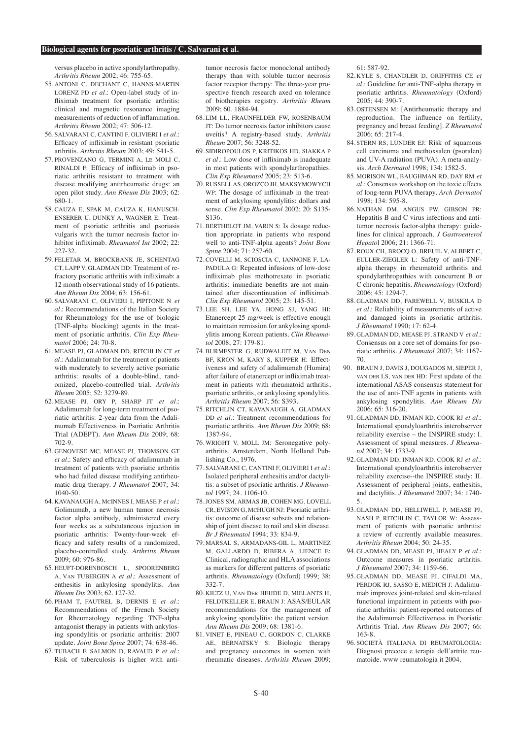#### **Biological agents for psoriatic arthritis / C. Salvarani et al.**

versus placebo in active spondylarthropathy. *Arthritis Rheum* 2002; 46: 755-65.

- 55. ANTONI C, DECHANT C, HANNS-MARTIN LORENZ PD *et al.*: Open-label study of infliximab treatment for psoriatic arthritis: clinical and magnetic resonance imaging measurements of reduction of inflammation. *Arthritis Rheum* 2002; 47: 506-12.
- 56. SALVARANI C, CANTINI F, OLIVIERI I *et al.*: Efficacy of infliximab in resistant psoriatic arthritis. *Arthritis Rheum* 2003; 49: 541-5.
- 57. PROVENZANO G, TERMINI A, LE MOLI C, RINALDI F: Efficacy of infliximab in psoriatic arthritis resistant to treatment with disease modifying antirheumatic drugs: an open pilot study. *Ann Rheum Dis* 2003; 62: 680-1.
- 58. CAUZA E, SPAK M, CAUZA K, HANUSCH-ENSERER U, DUNKY A, WAGNER E: Treatment of psoriatic arthritis and psoriasis vulgaris with the tumor necrosis factor inhibitor infliximab. *Rheumatol Int* 2002; 22: 227-32.
- 59. FELETAR M, BROCKBANK JE, SCHENTAG CT, LAPP V, GLADMAN DD: Treatment of refractory psoriatic arthritis with infliximab: a 12 month observational study of 16 patients. *Ann Rheum Dis* 2004; 63: 156-61.
- 60. SALVARANI C, OLIVIERI I, PIPITONE N *et al.*: Recommendations of the Italian Society for Rheumatology for the use of biologic (TNF-alpha blocking) agents in the treatment of psoriatic arthritis. *Clin Exp Rheumatol* 2006; 24: 70-8.
- 61. MEASE PJ, GLADMAN DD, RITCHLIN CT *et al.*: Adalimumab for the treatment of patients with moderately to severely active psoriatic arthritis: results of a double-blind, randomized, placebo-controlled trial. *Arthritis Rheum* 2005; 52: 3279-89.
- 62. MEASE PJ, ORY P, SHARP JT *et al.*: Adalimumab for long-term treatment of psoriatic arthritis: 2-year data from the Adalimumab Effectiveness in Psoriatic Arthritis Trial (ADEPT). *Ann Rheum Dis* 2009; 68: 702-9.
- 63. GENOVESE MC, MEASE PJ, THOMSON GT *et al.*: Safety and efficacy of adalimumab in treatment of patients with psoriatic arthritis who had failed disease modifying antirheumatic drug therapy. *J Rheumatol* 2007; 34: 1040-50.
- 64. KAVANAUGH A, MCINNES I, MEASE P *et al.*: Golimumab, a new human tumor necrosis factor alpha antibody, administered every four weeks as a subcutaneous injection in psoriatic arthritis: Twenty-four-week efficacy and safety results of a randomized, placebo-controlled study. *Arthritis Rheum*  2009; 60: 976-86.
- 65. HEUFT-DORENBOSCH L, SPOORENBERG A, VAN TUBERGEN A *et al.*: Assessment of enthesitis in ankylosing spondylitis. *Ann Rheum Dis* 2003; 62. 127-32.
- 66. PHAM T, FAUTREL B, DERNIS E *et al.*: Recommendations of the French Society for Rheumatology regarding TNF-alpha antagonist therapy in patients with ankylosing spondylitis or psoriatic arthritis: 2007 update. *Joint Bone Spine* 2007; 74: 638-46.
- 67. TUBACH F, SALMON D, RAVAUD P *et al.*: Risk of tuberculosis is higher with anti-

tumor necrosis factor monoclonal antibody therapy than with soluble tumor necrosis factor receptor therapy: The three-year prospective french research axed on tolerance of biotherapies registry. *Arthritis Rheum*  2009; 60. 1884-94.

- 68. LIM LL, FRAUNFELDER FW, ROSENBAUM JT: Do tumor necrosis factor inhibitors cause uveitis? A registry-based study. *Arthritis Rheum* 2007; 56: 3248-52.
- 69. SIDIROPOULOS P, KRITIKOS HD, SIAKKA P *et al.*: Low dose of infliximab is inadequate in most patients with spondylarthropathies. *Clin Exp Rheumatol* 2005; 23: 513-6.
- 70. RUSSELL AS, OROZCO JH, MAKSYMOWYCH WP: The dosage of infliximab in the treatment of ankylosing spondylitis: dollars and sense. *Clin Exp Rheumatol* 2002; 20: S135- S136.
- 71. BERTHELOT JM, VARIN S: Is dosage reduction appropriate in patients who respond well to anti-TNF-alpha agents? *Joint Bone Spine* 2004; 71: 257-60.
- 72. COVELLI M, SCIOSCIA C, IANNONE F, LA-PADULA G: Repeated infusions of low-dose infliximab plus methotrexate in psoriatic arthritis: immediate benefits are not maintained after discontinuation of infliximab. *Clin Exp Rheumatol* 2005; 23: 145-51.
- 73. LEE SH, LEE YA, HONG SJ, YANG HI: Etanercept 25 mg/week is effective enough to maintain remission for ankylosing spondylitis among Korean patients. *Clin Rheumatol* 2008; 27: 179-81.
- 74. BURMESTER G, RUDWALEIT M, VAN DEN BF, KRON M, KARY S, KUPPER H: Effectiveness and safety of adalimumab (Humira) after failure of etanercept or infliximab treatment in patients with rheumatoid arthritis, psoriatic arthritis, or ankylosing spondylitis. *Arthritis Rheum* 2007; 56: S393.
- 75. RITCHLIN CT, KAVANAUGH A, GLADMAN DD *et al.*: Treatment recommendations for psoriatic arthritis. *Ann Rheum Dis* 2009; 68: 1387-94.
- 76. WRIGHT V, MOLL JM: Seronegative polyarthritis. Amsterdam, North Holland Publishing Co., 1976.
- 77. SALVARANI C, CANTINI F, OLIVIERI I *et al.*: Isolated peripheral enthesitis and/or dactylitis: a subset of psoriatic arthritis. *J Rheumatol* 1997; 24. 1106-10.
- 78. JONES SM, ARMAS JB, COHEN MG, LOVELL CR, EVISON G, MCHUGH NJ: Psoriatic arthritis: outcome of disease subsets and relationship of joint disease to nail and skin disease. *Br J Rheumatol* 1994; 33: 834-9.
- 79. MARSAL S, ARMADANS-GIL L, MARTINEZ M, GALLARDO D, RIBERA A, LIENCE E: Clinical, radiographic and HLA associations as markers for different patterns of psoriatic arthritis. *Rheumatology* (Oxford) 1999; 38: 332-7.
- 80. KILTZ U, VAN DER HEIJDE D, MIELANTS H, FELDTKELLER E, BRAUN J: ASAS/EULAR recommendations for the management of ankylosing spondylitis: the patient version. *Ann Rheum Dis* 2009; 68: 1381-6.
- 81. VINET E, PINEAU C, GORDON C, CLARKE AE, BERNATSKY S: Biologic therapy and pregnancy outcomes in women with rheumatic diseases. *Arthritis Rheum* 2009;

 $61.587.92$ 

- 82. KYLE S, CHANDLER D, GRIFFITHS CE *et al.*: Guideline for anti-TNF-alpha therapy in psoriatic arthritis. *Rheumatology* (Oxford) 2005; 44: 390-7.
- 83. OSTENSEN M: [Antirheumatic therapy and reproduction. The influence on fertility, pregnancy and breast feeding]. *Z Rheumatol* 2006; 65: 217-4.
- 84. STERN RS, LUNDER EJ: Risk of squamous cell carcinoma and methoxsalen (psoralen) and UV-A radiation (PUVA). A meta-analysis. *Arch Dermatol* 1998; 134: 1582-5.
- 85. MORISON WL, BAUGHMAN RD, DAY RM *et al.*: Consensus workshop on the toxic effects of long-term PUVA therapy. *Arch Dermatol* 1998; 134: 595-8.
- 86. NATHAN DM, ANGUS PW, GIBSON PR: Hepatitis B and C virus infections and antitumor necrosis factor-alpha therapy: guidelines for clinical approach. *J Gastroenterol Hepato*l 2006; 21: 1366-71.
- 87. ROUX CH, BROCQ O, BREUIL V, ALBERT C, EULLER-ZIEGLER L: Safety of anti-TNFalpha therapy in rheumatoid arthritis and spondylarthropathies with concurrent B or C chronic hepatitis. *Rheumatology* (Oxford) 2006; 45: 1294-7.
- 88. GLADMAN DD, FAREWELL V, BUSKILA D *et al.*: Reliability of measurements of active and damaged joints in psoriatic arthritis. *J Rheumatol* 1990; 17: 62-4.
- 89. GLADMAN DD, MEASE PJ, STRAND V *et al.*: Consensus on a core set of domains for psoriatic arthritis. *J Rheumatol* 2007; 34: 1167- 70.
- 90. BRAUN J, DAVIS J, DOUGADOS M, SIEPER J, VAN DER LS, VAN DER HD: First update of the international ASAS consensus statement for the use of anti-TNF agents in patients with ankylosing spondylitis. *Ann Rheum Dis* 2006; 65: 316-20.
- 91. GLADMAN DD, INMAN RD, COOK RJ *et al.*: International spondyloarthritis interobserver reliability exercise – the INSPIRE study: I. Assessment of spinal measures. *J Rheumatol* 2007; 34: 1733-9.
- 92. GLADMAN DD, INMAN RD, COOK RJ *et al.*: International spondyloarthritis interobserver reliability exercise--the INSPIRE study: II. Assessment of peripheral joints, enthesitis, and dactylitis. *J Rheumatol* 2007; 34: 1740- 5.
- 93. GLADMAN DD, HELLIWELL P, MEASE PJ, NASH P, RITCHLIN C, TAYLOR W: Assessment of patients with psoriatic arthritis: a review of currently available measures. *Arthritis Rheum* 2004; 50: 24-35.
- 94. GLADMAN DD, MEASE PJ, HEALY P *et al.*: Outcome measures in psoriatic arthritis. *J Rheumatol* 2007; 34: 1159-66.
- 95. GLADMAN DD, MEASE PJ, CIFALDI MA, PERDOK RJ, SASSO E, MEDICH J: Adalimumab improves joint-related and skin-related functional impairment in patients with psoriatic arthritis: patient-reported outcomes of the Adalimumab Effectiveness in Psoriatic Arthritis Trial. *Ann Rheum Dis* 2007; 66: 163-8.
- 96. SOCIETÀ ITALIANA DI REUMATOLOGIA: Diagnosi precoce e terapia dell'artrite reumatoide. www reumatologia it 2004.